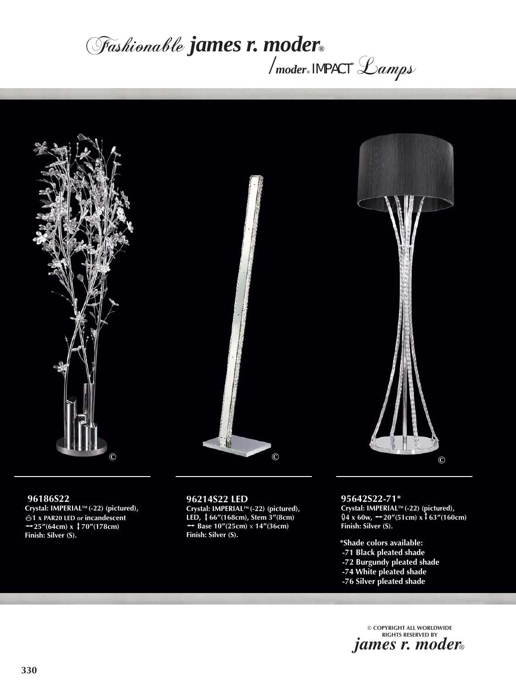## *james r. moder ®* /*moder®* $\sqrt{m}$ oder<sub>®</sub> IMPACT<sup>®</sup>  $\mathscr{L}$ amps



 **96186S22 Crystal: IMPERIALTM (-22) (pictured), 1 x PAR20 LED** *or* **incandescent**  $\rightarrow$  25"(64cm) x  $\downarrow$  70"(178cm) **Finish: Silver (S).**

### **96214S22 LED**

 **Crystal: IMPERIALTM (-22) (pictured), LED, ↓66"(168cm), Stem 3"(8cm)**<br>← Base 10"(25cm) x 14"(36cm) **Finish: Silver (S).** 

**95642S22-71\* Crystal: IMPERIALTM (-22) (pictured),**   $\frac{1}{4}$  x 60w,  $\rightarrow$  20"(51cm) x  $\frac{1}{4}$  63"(160cm) **Finish: Silver (S).**

- **\*Shade colors available:**
- **-71 Black pleated shade**
- **-72 Burgundy pleated shade**
- **-74 White pleated shade**
- **-76 Silver pleated shade**

**© COPYRIGHT ALL WORLDWIDE RIGHTS RESERVED BY** *james r. moder*®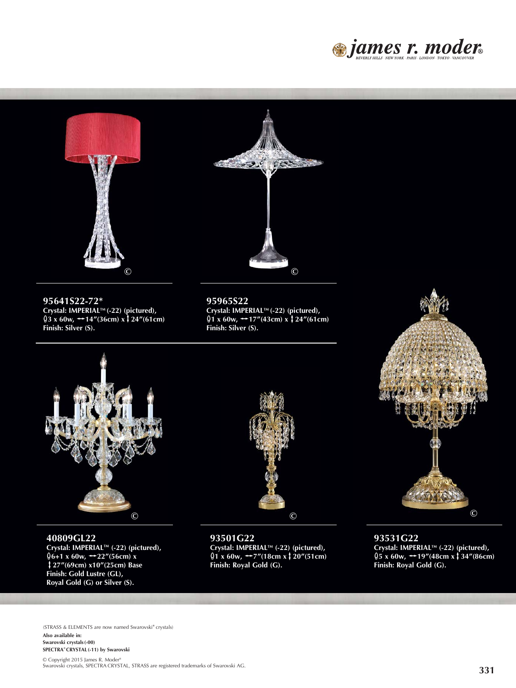



**40809GL22 Crystal: IMPERIALTM (-22) (pictured),**  E**6+1 x 60w,** h**22"(56cm) x** v**27"(69cm) x10"(25cm) Base Finish: Gold Lustre (GL), Royal Gold (G) or Silver (S).**



**93501G22 Crystal: IMPERIALTM (-22) (pictured),**   $\frac{0.1 \times 60}{100 \times 10^{10}} \div 7''(18 \text{ cm} \times \frac{1}{2} \cdot 20''(51 \text{ cm}))$ **Finish: Royal Gold (G).**

**93531G22 Crystal: IMPERIALTM (-22) (pictured),**  E**5 x 60w,** h**19"(48cm x**v**34"(86cm) Finish: Royal Gold (G).**

(STRASS & ELEMENTS are now named Swarovski**®** crystals) **Also available in: Swarovski crystals(-00) SPECTRA® CRYSTAL(-11) by Swarovski** 

**©**

**©**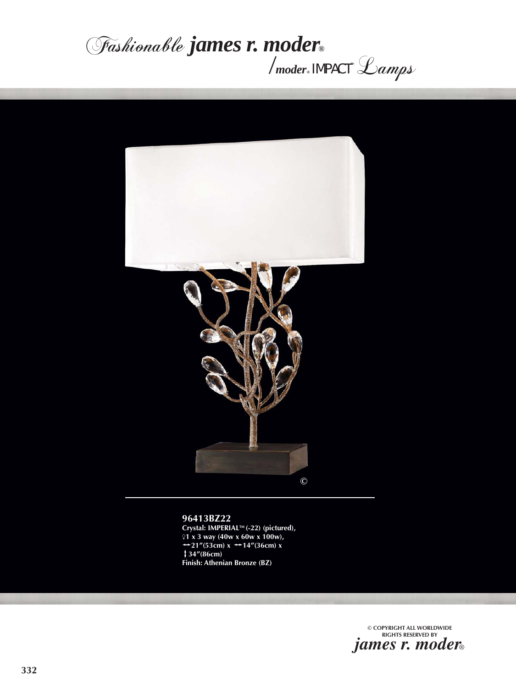# *james r. moder ®* /*moder®* $\sqrt{m}$ oder<sub>®</sub>IMPACT<sup>®</sup> $\mathcal{L}$ amps



### **96413BZ22**

**Crystal: IMPERIALTM (-22) (pictured), 1 x 3 way (40w x 60w x 100w),**  $\rightarrow$ 21"(53cm) x  $\rightarrow$  14"(36cm) x v**34"(86cm) Finish: Athenian Bronze (BZ)**